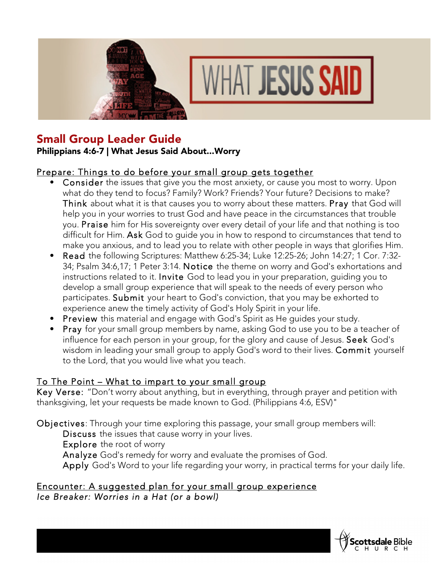



# Small Group Leader Guide

### Philippians 4:6-7 | What Jesus Said About...Worry

### Prepare: Things to do before your small group gets together

- Consider the issues that give you the most anxiety, or cause you most to worry. Upon what do they tend to focus? Family? Work? Friends? Your future? Decisions to make? Think about what it is that causes you to worry about these matters. Pray that God will help you in your worries to trust God and have peace in the circumstances that trouble you. Praise him for His sovereignty over every detail of your life and that nothing is too difficult for Him. Ask God to guide you in how to respond to circumstances that tend to make you anxious, and to lead you to relate with other people in ways that glorifies Him.
- Read the following Scriptures: Matthew 6:25-34; Luke 12:25-26; John 14:27; 1 Cor. 7:32- 34; Psalm 34:6,17; 1 Peter 3:14. Notice the theme on worry and God's exhortations and instructions related to it. Invite God to lead you in your preparation, guiding you to develop a small group experience that will speak to the needs of every person who participates. Submit your heart to God's conviction, that you may be exhorted to experience anew the timely activity of God's Holy Spirit in your life.
- Preview this material and engage with God's Spirit as He guides your study.
- Pray for your small group members by name, asking God to use you to be a teacher of influence for each person in your group, for the glory and cause of Jesus. Seek God's wisdom in leading your small group to apply God's word to their lives. **Commit** yourself to the Lord, that you would live what you teach.

# To The Point – What to impart to your small group

Key Verse: "Don't worry about anything, but in everything, through prayer and petition with thanksgiving, let your requests be made known to God. (Philippians 4:6, ESV)"

Objectives: Through your time exploring this passage, your small group members will: Discuss the issues that cause worry in your lives. Explore the root of worry Analyze God's remedy for worry and evaluate the promises of God. Apply God's Word to your life regarding your worry, in practical terms for your daily life.

### Encounter: A suggested plan for your small group experience *Ice Breaker: Worries in a Hat (or a bowl)*

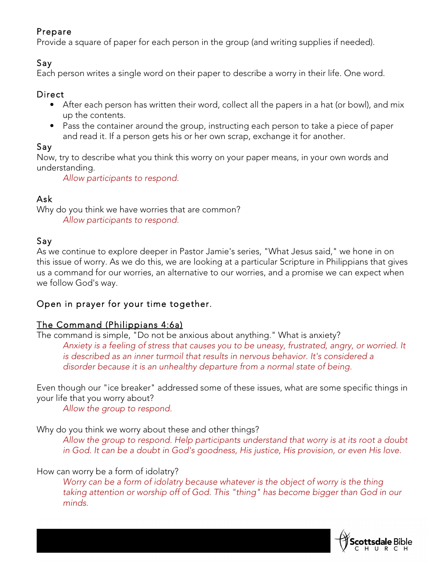# Prepare

Provide a square of paper for each person in the group (and writing supplies if needed).

### Say

Each person writes a single word on their paper to describe a worry in their life. One word.

# **Direct**

- After each person has written their word, collect all the papers in a hat (or bowl), and mix up the contents.
- Pass the container around the group, instructing each person to take a piece of paper and read it. If a person gets his or her own scrap, exchange it for another.

# Say

Now, try to describe what you think this worry on your paper means, in your own words and understanding.

*Allow participants to respond.*

# Ask

Why do you think we have worries that are common? *Allow participants to respond.*

# Say

As we continue to explore deeper in Pastor Jamie's series, "What Jesus said," we hone in on this issue of worry. As we do this, we are looking at a particular Scripture in Philippians that gives us a command for our worries, an alternative to our worries, and a promise we can expect when we follow God's way.

# Open in prayer for your time together.

# The Command (Philippians 4:6a)

The command is simple, "Do not be anxious about anything." What is anxiety? *Anxiety is a feeling of stress that causes you to be uneasy, frustrated, angry, or worried. It is described as an inner turmoil that results in nervous behavior. It's considered a disorder because it is an unhealthy departure from a normal state of being.*

Even though our "ice breaker" addressed some of these issues, what are some specific things in your life that you worry about?

*Allow the group to respond.*

Why do you think we worry about these and other things?

*Allow the group to respond. Help participants understand that worry is at its root a doubt in God. It can be a doubt in God's goodness, His justice, His provision, or even His love.*

# How can worry be a form of idolatry?

*Worry can be a form of idolatry because whatever is the object of worry is the thing taking attention or worship off of God. This "thing" has become bigger than God in our minds.*

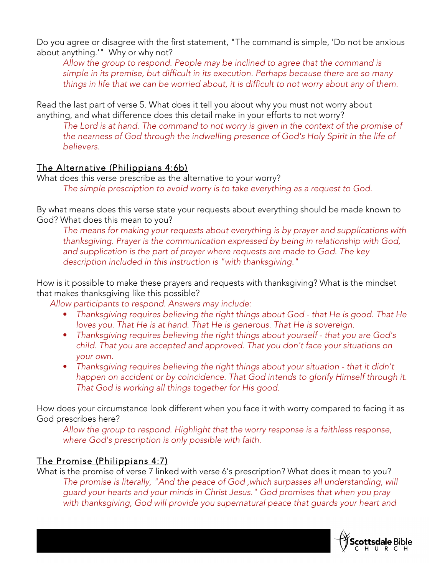Do you agree or disagree with the first statement, "The command is simple, 'Do not be anxious about anything.'" Why or why not?

*Allow the group to respond. People may be inclined to agree that the command is simple in its premise, but difficult in its execution. Perhaps because there are so many things in life that we can be worried about, it is difficult to not worry about any of them.*

Read the last part of verse 5. What does it tell you about why you must not worry about anything, and what difference does this detail make in your efforts to not worry?

*The Lord is at hand. The command to not worry is given in the context of the promise of the nearness of God through the indwelling presence of God's Holy Spirit in the life of believers.*

# The Alternative (Philippians 4:6b)

What does this verse prescribe as the alternative to your worry? *The simple prescription to avoid worry is to take everything as a request to God.*

By what means does this verse state your requests about everything should be made known to God? What does this mean to you?

*The means for making your requests about everything is by prayer and supplications with thanksgiving. Prayer is the communication expressed by being in relationship with God, and supplication is the part of prayer where requests are made to God. The key description included in this instruction is "with thanksgiving."*

How is it possible to make these prayers and requests with thanksgiving? What is the mindset that makes thanksgiving like this possible?

*Allow participants to respond. Answers may include:*

- *Thanksgiving requires believing the right things about God that He is good. That He loves you. That He is at hand. That He is generous. That He is sovereign.*
- *Thanksgiving requires believing the right things about yourself that you are God's child. That you are accepted and approved. That you don't face your situations on your own.*
- *Thanksgiving requires believing the right things about your situation that it didn't happen on accident or by coincidence. That God intends to glorify Himself through it. That God is working all things together for His good.*

How does your circumstance look different when you face it with worry compared to facing it as God prescribes here?

*Allow the group to respond. Highlight that the worry response is a faithless response, where God's prescription is only possible with faith.*

# The Promise (Philippians 4:7)

What is the promise of verse 7 linked with verse 6's prescription? What does it mean to you? *The promise is literally, "And the peace of God ,which surpasses all understanding, will guard your hearts and your minds in Christ Jesus." God promises that when you pray with thanksgiving, God will provide you supernatural peace that guards your heart and* 

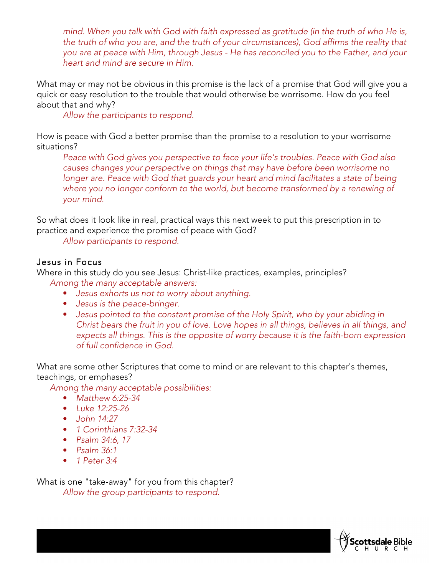*mind. When you talk with God with faith expressed as gratitude (in the truth of who He is, the truth of who you are, and the truth of your circumstances), God affirms the reality that you are at peace with Him, through Jesus - He has reconciled you to the Father, and your heart and mind are secure in Him.*

What may or may not be obvious in this promise is the lack of a promise that God will give you a quick or easy resolution to the trouble that would otherwise be worrisome. How do you feel about that and why?

*Allow the participants to respond.*

How is peace with God a better promise than the promise to a resolution to your worrisome situations?

*Peace with God gives you perspective to face your life's troubles. Peace with God also causes changes your perspective on things that may have before been worrisome no longer are. Peace with God that guards your heart and mind facilitates a state of being where you no longer conform to the world, but become transformed by a renewing of your mind.*

So what does it look like in real, practical ways this next week to put this prescription in to practice and experience the promise of peace with God?

*Allow participants to respond.*

#### Jesus in Focus

Where in this study do you see Jesus: Christ-like practices, examples, principles? *Among the many acceptable answers:*

- *Jesus exhorts us not to worry about anything.*
- *Jesus is the peace-bringer.*
- *Jesus pointed to the constant promise of the Holy Spirit, who by your abiding in Christ bears the fruit in you of love. Love hopes in all things, believes in all things, and expects all things. This is the opposite of worry because it is the faith-born expression of full confidence in God.*

What are some other Scriptures that come to mind or are relevant to this chapter's themes, teachings, or emphases?

*Among the many acceptable possibilities:*

- *Matthew 6:25-34*
- *Luke 12:25-26*
- *John 14:27*
- *1 Corinthians 7:32-34*
- *Psalm 34:6, 17*
- *Psalm 36:1*
- *1 Peter 3:4*

What is one "take-away" for you from this chapter? *Allow the group participants to respond.*